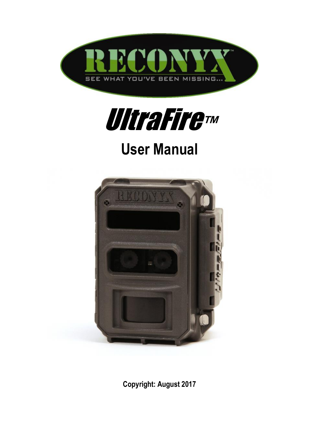



# **User Manual**



**Copyright: August 2017**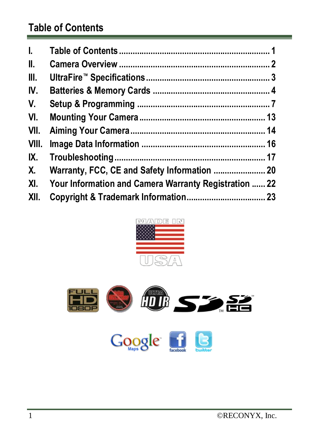## <span id="page-1-0"></span>**Table of Contents**

| L.   |                                                           |
|------|-----------------------------------------------------------|
| II.  |                                                           |
| III. |                                                           |
| IV.  |                                                           |
| V.   |                                                           |
| VI.  |                                                           |
|      |                                                           |
|      |                                                           |
|      |                                                           |
|      |                                                           |
|      | XI. Your Information and Camera Warranty Registration  22 |
| XII. |                                                           |



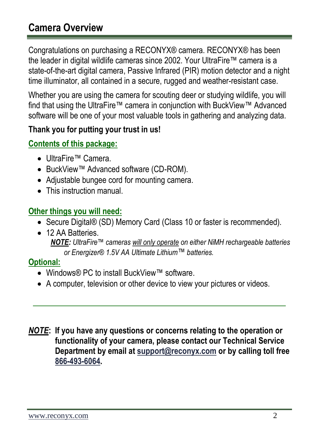## <span id="page-2-0"></span>**Camera Overview**

Congratulations on purchasing a RECONYX® camera. RECONYX® has been the leader in digital wildlife cameras since 2002. Your UltraFire™ camera is a state-of-the-art digital camera, Passive Infrared (PIR) motion detector and a night time illuminator, all contained in a secure, rugged and weather-resistant case.

Whether you are using the camera for scouting deer or studying wildlife, you will find that using the UltraFire™ camera in conjunction with BuckView™ Advanced software will be one of your most valuable tools in gathering and analyzing data.

#### **Thank you for putting your trust in us!**

#### **Contents of this package:**

- UltraFire™ Camera.
- BuckView™ Advanced software (CD-ROM).
- Adjustable bungee cord for mounting camera.
- This instruction manual.

#### **Other things you will need:**

- Secure Digital® (SD) Memory Card (Class 10 or faster is recommended).
- 12 AA Batteries. *NOTE: UltraFire™ cameras will only operate on either NiMH rechargeable batteries or Energizer® 1.5V AA Ultimate Lithium*™ *batteries.*

#### **Optional:**

- Windows® PC to install BuckView™ software.
- A computer, television or other device to view your pictures or videos.
- *NOTE***: If you have any questions or concerns relating to the operation or functionality of your camera, please contact our Technical Service Department by email at [support@reconyx.com](mailto:support@reconyx.com) or by calling toll free [866-493-6064.](callto:+1866-793-6064)**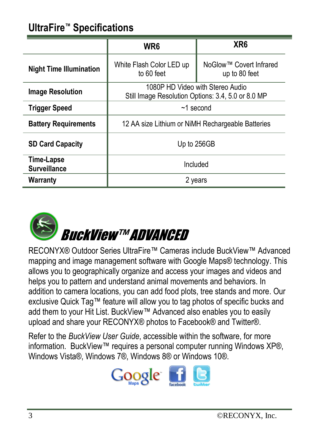## <span id="page-3-0"></span>**UltraFire™ Specifications**

|                                   | WR <sub>6</sub>                                                                        | XR <sub>6</sub>                          |  |  |
|-----------------------------------|----------------------------------------------------------------------------------------|------------------------------------------|--|--|
| <b>Night Time Illumination</b>    | White Flash Color LED up<br>to 60 feet                                                 | NoGlow™ Covert Infrared<br>up to 80 feet |  |  |
| <b>Image Resolution</b>           | 1080P HD Video with Stereo Audio<br>Still Image Resolution Options: 3.4, 5.0 or 8.0 MP |                                          |  |  |
| <b>Trigger Speed</b>              | $~1$ second                                                                            |                                          |  |  |
| <b>Battery Requirements</b>       | 12 AA size Lithium or NiMH Rechargeable Batteries                                      |                                          |  |  |
| <b>SD Card Capacity</b>           | Up to 256GB                                                                            |                                          |  |  |
| Time-Lapse<br><b>Surveillance</b> | Included                                                                               |                                          |  |  |
| Warranty                          | 2 years                                                                                |                                          |  |  |



RECONYX® Outdoor Series UltraFire™ Cameras include BuckView™ Advanced mapping and image management software with Google Maps® technology. This allows you to geographically organize and access your images and videos and helps you to pattern and understand animal movements and behaviors. In addition to camera locations, you can add food plots, tree stands and more. Our exclusive Quick Tag™ feature will allow you to tag photos of specific bucks and add them to your Hit List. BuckView™ Advanced also enables you to easily upload and share your RECONYX® photos to Facebook® and Twitter®.

Refer to the *BuckView User Guide*, accessible within the software, for more information. BuckView™ requires a personal computer running Windows XP®, Windows Vista®, Windows 7®, Windows 8® or Windows 10®.

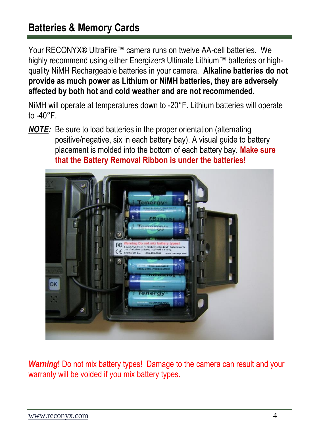## <span id="page-4-0"></span>**Batteries & Memory Cards**

Your RECONYX® UltraFire™ camera runs on twelve AA-cell batteries. We highly recommend using either Energizer® Ultimate Lithium™ batteries or highquality NiMH Rechargeable batteries in your camera. **Alkaline batteries do not provide as much power as Lithium or NiMH batteries, they are adversely affected by both hot and cold weather and are not recommended.**

NiMH will operate at temperatures down to -20°F. Lithium batteries will operate to  $-40^{\circ}$ F.

*NOTE:* Be sure to load batteries in the proper orientation (alternating positive/negative, six in each battery bay). A visual guide to battery placement is molded into the bottom of each battery bay. **Make sure that the Battery Removal Ribbon is under the batteries!**



*Warning***!** Do not mix battery types! Damage to the camera can result and your warranty will be voided if you mix battery types.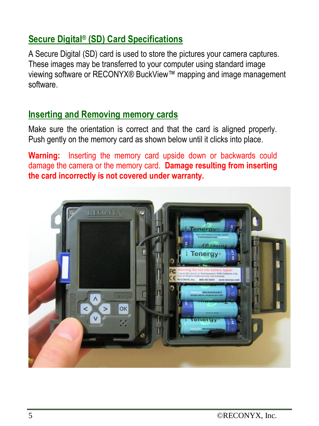## **Secure Digital® (SD) Card Specifications**

A Secure Digital (SD) card is used to store the pictures your camera captures. These images may be transferred to your computer using standard image viewing software or RECONYX® BuckView™ mapping and image management software.

#### **Inserting and Removing memory cards**

Make sure the orientation is correct and that the card is aligned properly. Push gently on the memory card as shown below until it clicks into place.

**Warning:** Inserting the memory card upside down or backwards could damage the camera or the memory card. **Damage resulting from inserting the card incorrectly is not covered under warranty.**

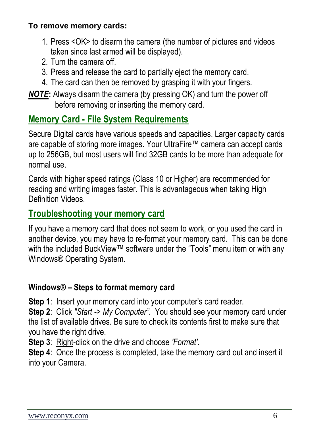#### **To remove memory cards:**

- 1. Press <OK> to disarm the camera (the number of pictures and videos taken since last armed will be displayed).
- 2. Turn the camera off.
- 3. Press and release the card to partially eject the memory card.
- 4. The card can then be removed by grasping it with your fingers.

*NOTE***:** Always disarm the camera (by pressing OK) and turn the power off before removing or inserting the memory card.

### **Memory Card - File System Requirements**

Secure Digital cards have various speeds and capacities. Larger capacity cards are capable of storing more images. Your UltraFire™ camera can accept cards up to 256GB, but most users will find 32GB cards to be more than adequate for normal use.

Cards with higher speed ratings (Class 10 or Higher) are recommended for reading and writing images faster. This is advantageous when taking High Definition Videos.

### **Troubleshooting your memory card**

If you have a memory card that does not seem to work, or you used the card in another device, you may have to re-format your memory card. This can be done with the included BuckView™ software under the "Tools" menu item or with any Windows® Operating System.

#### **Windows® – Steps to format memory card**

**Step 1**: Insert your memory card into your computer's card reader.

**Step 2**: Click *"Start -> My Computer".* You should see your memory card under the list of available drives. Be sure to check its contents first to make sure that you have the right drive.

**Step 3**: Right-click on the drive and choose *'Format'*.

**Step 4**: Once the process is completed, take the memory card out and insert it into your Camera.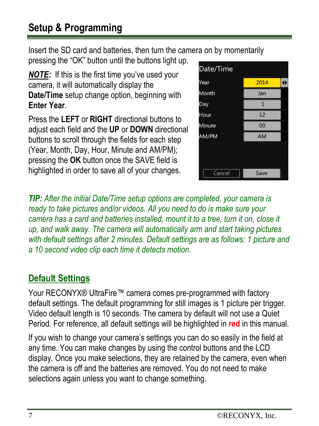## <span id="page-7-0"></span>**Setup & Programming**

Insert the SD card and batteries, then turn the camera on by momentarily pressing the "OK" button until the buttons light up.

*NOTE:*If this is the first time you've used your camera, it will automatically display the **Date/Time** setup change option, beginning with **Enter Year**.

Press the **LEFT** or **RIGHT** directional buttons to adjust each field and the **UP** or **DOWN** directional buttons to scroll through the fields for each step (Year, Month, Day, Hour, Minute and AM/PM); pressing the **OK** button once the SAVE field is highlighted in order to save all of your changes.



*TIP: After the initial Date/Time setup options are completed, your camera is ready to take pictures and/or videos. All you need to do is make sure your camera has a card and batteries installed, mount it to a tree, turn it on, close it up, and walk away. The camera will automatically arm and start taking pictures with default settings after 2 minutes. Default settings are as follows: 1 picture and a 10 second video clip each time it detects motion.*

## **Default Settings**

Your RECONYX® UltraFire™ camera comes pre-programmed with factory default settings. The default programming for still images is 1 picture per trigger. Video default length is 10 seconds. The camera by default will not use a Quiet Period. For reference, all default settings will be highlighted in **red** in this manual.

If you wish to change your camera's settings you can do so easily in the field at any time. You can make changes by using the control buttons and the LCD display. Once you make selections, they are retained by the camera, even when the camera is off and the batteries are removed. You do not need to make selections again unless you want to change something.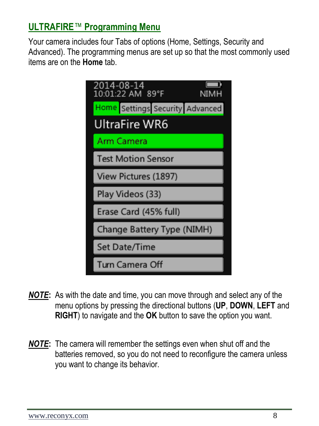### **ULTRAFIRE**™ **Programming Menu**

Your camera includes four Tabs of options (Home, Settings, Security and Advanced). The programming menus are set up so that the most commonly used items are on the **Home** tab.



- *NOTE***:** As with the date and time, you can move through and select any of the menu options by pressing the directional buttons (**UP**, **DOWN**, **LEFT** and **RIGHT**) to navigate and the **OK** button to save the option you want.
- *NOTE***:** The camera will remember the settings even when shut off and the batteries removed, so you do not need to reconfigure the camera unless you want to change its behavior.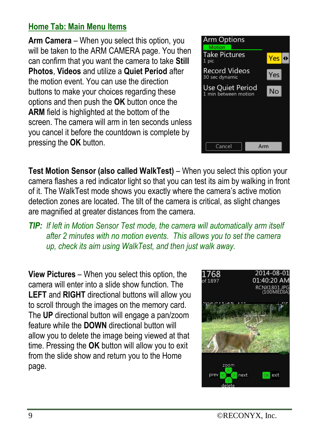#### **Home Tab: Main Menu Items**

**Arm Camera** – When you select this option, you will be taken to the ARM CAMERA page. You then can confirm that you want the camera to take **Still Photos**, **Videos** and utilize a **Quiet Period** after the motion event. You can use the direction buttons to make your choices regarding these options and then push the **OK** button once the **ARM** field is highlighted at the bottom of the screen. The camera will arm in ten seconds unless you cancel it before the countdown is complete by pressing the **OK** button.



**Test Motion Sensor (also called WalkTest)** – When you select this option your camera flashes a red indicator light so that you can test its aim by walking in front of it. The WalkTest mode shows you exactly where the camera's active motion detection zones are located. The tilt of the camera is critical, as slight changes are magnified at greater distances from the camera.

*TIP: If left in Motion Sensor Test mode, the camera will automatically arm itself after 2 minutes with no motion events. This allows you to set the camera up, check its aim using WalkTest, and then just walk away.* 

**View Pictures** – When you select this option, the camera will enter into a slide show function. The **LEFT** and **RIGHT** directional buttons will allow you to scroll through the images on the memory card. The **UP** directional button will engage a pan/zoom feature while the **DOWN** directional button will allow you to delete the image being viewed at that time. Pressing the **OK** button will allow you to exit from the slide show and return you to the Home page.

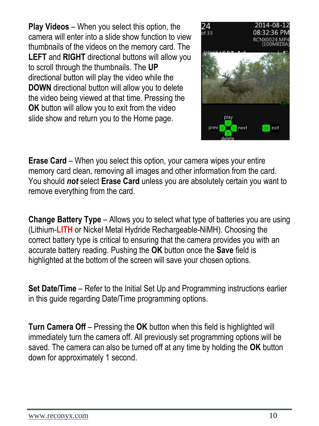**Play Videos** – When you select this option, the camera will enter into a slide show function to view thumbnails of the videos on the memory card. The **LEFT** and **RIGHT** directional buttons will allow you to scroll through the thumbnails. The **UP** directional button will play the video while the **DOWN** directional button will allow you to delete the video being viewed at that time. Pressing the **OK** button will allow you to exit from the video slide show and return you to the Home page.



**Erase Card** – When you select this option, your camera wipes your entire memory card clean, removing all images and other information from the card. You should *not* select **Erase Card** unless you are absolutely certain you want to remove everything from the card.

**Change Battery Type** – Allows you to select what type of batteries you are using (Lithium-**LITH** or Nickel Metal Hydride Rechargeable-NiMH). Choosing the correct battery type is critical to ensuring that the camera provides you with an accurate battery reading. Pushing the **OK** button once the **Save** field is highlighted at the bottom of the screen will save your chosen options.

**Set Date/Time** – Refer to the Initial Set Up and Programming instructions earlier in this guide regarding Date/Time programming options.

**Turn Camera Off** – Pressing the **OK** button when this field is highlighted will immediately turn the camera off. All previously set programming options will be saved. The camera can also be turned off at any time by holding the **OK** button down for approximately 1 second.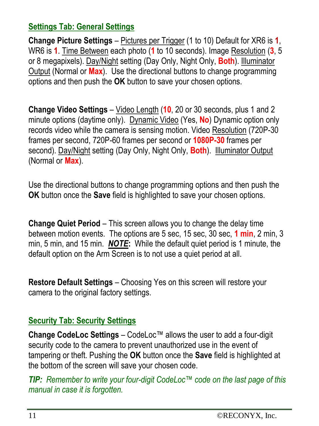#### **Settings Tab: General Settings**

**Change Picture Settings** – Pictures per Trigger (1 to 10) Default for XR6 is **1**, WR6 is **1**. Time Between each photo (**1** to 10 seconds). Image Resolution (**3**, 5 or 8 megapixels). Day/Night setting (Day Only, Night Only, **Both**). Illuminator Output (Normal or **Max**). Use the directional buttons to change programming options and then push the **OK** button to save your chosen options.

**Change Video Settings** – Video Length (**10**, 20 or 30 seconds, plus 1 and 2 minute options (daytime only). Dynamic Video (Yes, **No**) Dynamic option only records video while the camera is sensing motion. Video Resolution (720P-30 frames per second, 720P-60 frames per second or **1080P-30** frames per second). Day/Night setting (Day Only, Night Only, **Both**). Illuminator Output (Normal or **Max**).

Use the directional buttons to change programming options and then push the **OK** button once the **Save** field is highlighted to save your chosen options.

**Change Quiet Period** – This screen allows you to change the delay time between motion events. The options are 5 sec, 15 sec, 30 sec, **1 min**, 2 min, 3 min, 5 min, and 15 min. *NOTE***:** While the default quiet period is 1 minute, the default option on the Arm Screen is to not use a quiet period at all.

**Restore Default Settings** – Choosing Yes on this screen will restore your camera to the original factory settings.

#### **Security Tab: Security Settings**

**Change CodeLoc Settings** – CodeLoc™ allows the user to add a four-digit security code to the camera to prevent unauthorized use in the event of tampering or theft. Pushing the **OK** button once the **Save** field is highlighted at the bottom of the screen will save your chosen code.

*TIP: Remember to write your four-digit CodeLoc™ code on the last page of this manual in case it is forgotten.*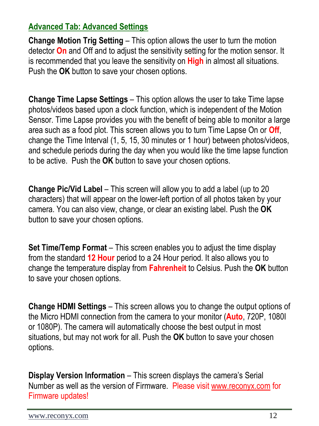#### **Advanced Tab: Advanced Settings**

**Change Motion Trig Setting** – This option allows the user to turn the motion detector **On** and Off and to adjust the sensitivity setting for the motion sensor. It is recommended that you leave the sensitivity on **High** in almost all situations. Push the **OK** button to save your chosen options.

**Change Time Lapse Settings** – This option allows the user to take Time lapse photos/videos based upon a clock function, which is independent of the Motion Sensor. Time Lapse provides you with the benefit of being able to monitor a large area such as a food plot. This screen allows you to turn Time Lapse On or **Off**, change the Time Interval (1, 5, 15, 30 minutes or 1 hour) between photos/videos, and schedule periods during the day when you would like the time lapse function to be active. Push the **OK** button to save your chosen options.

**Change Pic/Vid Label** – This screen will allow you to add a label (up to 20 characters) that will appear on the lower-left portion of all photos taken by your camera. You can also view, change, or clear an existing label. Push the **OK** button to save your chosen options.

**Set Time/Temp Format** – This screen enables you to adjust the time display from the standard **12 Hour** period to a 24 Hour period. It also allows you to change the temperature display from **Fahrenheit** to Celsius. Push the **OK** button to save your chosen options.

**Change HDMI Settings** – This screen allows you to change the output options of the Micro HDMI connection from the camera to your monitor (**Auto**, 720P, 1080I or 1080P). The camera will automatically choose the best output in most situations, but may not work for all. Push the **OK** button to save your chosen options.

**Display Version Information** – This screen displays the camera's Serial Number as well as the version of Firmware. Please visi[t www.reconyx.com](http://www.reconyx.com/) for Firmware updates!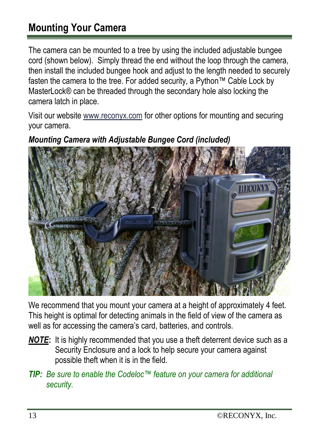## <span id="page-13-0"></span>**Mounting Your Camera**

The camera can be mounted to a tree by using the included adjustable bungee cord (shown below). Simply thread the end without the loop through the camera, then install the included bungee hook and adjust to the length needed to securely fasten the camera to the tree. For added security, a Python™ Cable Lock by MasterLock® can be threaded through the secondary hole also locking the camera latch in place.

Visit our websit[e www.reconyx.com](http://www.reconyx.com/) for other options for mounting and securing your camera.



#### *Mounting Camera with Adjustable Bungee Cord (included)*

We recommend that you mount your camera at a height of approximately 4 feet. This height is optimal for detecting animals in the field of view of the camera as well as for accessing the camera's card, batteries, and controls.

- *NOTE***:** It is highly recommended that you use a theft deterrent device such as a Security Enclosure and a lock to help secure your camera against possible theft when it is in the field.
- *TIP: Be sure to enable the Codeloc™ feature on your camera for additional security.*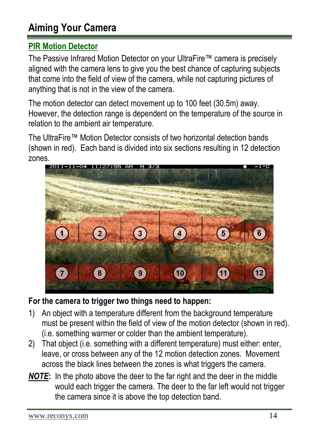## <span id="page-14-0"></span>**Aiming Your Camera**

#### **PIR Motion Detector**

The Passive Infrared Motion Detector on your UltraFire™ camera is precisely aligned with the camera lens to give you the best chance of capturing subjects that come into the field of view of the camera, while not capturing pictures of anything that is not in the view of the camera.

The motion detector can detect movement up to 100 feet (30.5m) away. However, the detection range is dependent on the temperature of the source in relation to the ambient air temperature.

The UltraFire™ Motion Detector consists of two horizontal detection bands (shown in red). Each band is divided into six sections resulting in 12 detection zones.



#### **For the camera to trigger two things need to happen:**

- 1) An object with a temperature different from the background temperature must be present within the field of view of the motion detector (shown in red). (i.e. something warmer or colder than the ambient temperature).
- 2) That object (i.e. something with a different temperature) must either: enter, leave, or cross between any of the 12 motion detection zones. Movement across the black lines between the zones is what triggers the camera.
- *NOTE***:** In the photo above the deer to the far right and the deer in the middle would each trigger the camera. The deer to the far left would not trigger the camera since it is above the top detection band.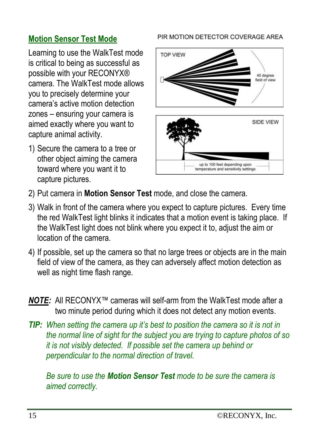### **Motion Sensor Test Mode**

Learning to use the WalkTest mode is critical to being as successful as possible with your RECONYX® camera. The WalkTest mode allows you to precisely determine your camera's active motion detection zones – ensuring your camera is aimed exactly where you want to capture animal activity.

1) Secure the camera to a tree or other object aiming the camera toward where you want it to capture pictures.

#### PIR MOTION DETECTOR COVERAGE AREA



- 2) Put camera in **Motion Sensor Test** mode, and close the camera.
- 3) Walk in front of the camera where you expect to capture pictures. Every time the red WalkTest light blinks it indicates that a motion event is taking place. If the WalkTest light does not blink where you expect it to, adjust the aim or location of the camera.
- 4) If possible, set up the camera so that no large trees or objects are in the main field of view of the camera, as they can adversely affect motion detection as well as night time flash range.
- *NOTE:* All RECONYX™ cameras will self-arm from the WalkTest mode after a two minute period during which it does not detect any motion events.
- *TIP:* When setting the camera up it's best to position the camera so it is not in *the normal line of sight for the subject you are trying to capture photos of so it is not visibly detected. If possible set the camera up behind or perpendicular to the normal direction of travel.*

*Be sure to use the Motion Sensor Test mode to be sure the camera is aimed correctly.*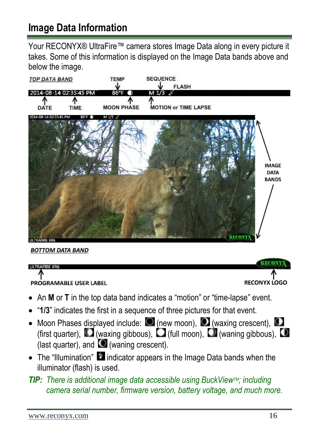## <span id="page-16-0"></span>**Image Data Information**

Your RECONYX® UltraFire™ camera stores Image Data along in every picture it takes. Some of this information is displayed on the Image Data bands above and below the image.



**BOTTOM DATA BAND** 

#### **ULTRAFIRE XR6**

PROGRAMABLE USER LABEL



- An **M** or **T** in the top data band indicates a "motion" or "time-lapse" event.
- "**1/3**" indicates the first in a sequence of three pictures for that event.
- Moon Phases displayed include:  $\bigcirc$  (new moon),  $\bigcirc$  (waxing crescent),  $\bigcirc$ (first quarter),  $\square$  (waxing gibbous),  $\square$  (full moon),  $\square$  (waning gibbous),  $\square$ (last quarter), and  $\bullet$  (waning crescent).
- $\bullet$  The "Illumination"  $\blacksquare$  indicator appears in the Image Data bands when the illuminator (flash) is used.

#### *TIP: There is additional image data accessible using BuckViewTM; including camera serial number, firmware version, battery voltage, and much more.*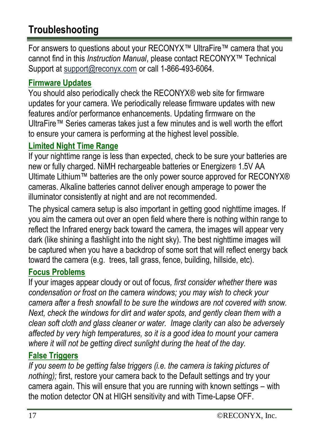## <span id="page-17-0"></span>**Troubleshooting**

For answers to questions about your RECONYX™ UltraFire™ camera that you cannot find in this *Instruction Manual*, please contact RECONYX™ Technical Support at [support@reconyx.com](mailto:support@reconyx.com) or call 1-866-493-6064.

#### **Firmware Updates**

You should also periodically check the RECONYX® web site for firmware updates for your camera. We periodically release firmware updates with new features and/or performance enhancements. Updating firmware on the UltraFire™ Series cameras takes just a few minutes and is well worth the effort to ensure your camera is performing at the highest level possible.

### **Limited Night Time Range**

If your nighttime range is less than expected, check to be sure your batteries are new or fully charged. NiMH rechargeable batteries or Energizer® 1.5V AA Ultimate Lithium™ batteries are the only power source approved for RECONYX® cameras. Alkaline batteries cannot deliver enough amperage to power the illuminator consistently at night and are not recommended.

The physical camera setup is also important in getting good nighttime images. If you aim the camera out over an open field where there is nothing within range to reflect the Infrared energy back toward the camera, the images will appear very dark (like shining a flashlight into the night sky). The best nighttime images will be captured when you have a backdrop of some sort that will reflect energy back toward the camera (e.g. trees, tall grass, fence, building, hillside, etc).

### **Focus Problems**

If your images appear cloudy or out of focus*, first consider whether there was condensation or frost on the camera windows; you may wish to check your camera after a fresh snowfall to be sure the windows are not covered with snow. Next, check the windows for dirt and water spots, and gently clean them with a clean soft cloth and glass cleaner or water. Image clarity can also be adversely affected by very high temperatures, so it is a good idea to mount your camera where it will not be getting direct sunlight during the heat of the day.* 

### **False Triggers**

*If you seem to be getting false triggers (i.e. the camera is taking pictures of nothing);* first, restore your camera back to the Default settings and try your camera again. This will ensure that you are running with known settings – with the motion detector ON at HIGH sensitivity and with Time-Lapse OFF.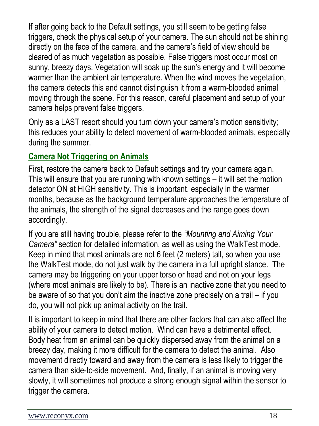If after going back to the Default settings, you still seem to be getting false triggers, check the physical setup of your camera. The sun should not be shining directly on the face of the camera, and the camera's field of view should be cleared of as much vegetation as possible. False triggers most occur most on sunny, breezy days. Vegetation will soak up the sun's energy and it will become warmer than the ambient air temperature. When the wind moves the vegetation, the camera detects this and cannot distinguish it from a warm-blooded animal moving through the scene. For this reason, careful placement and setup of your camera helps prevent false triggers.

Only as a LAST resort should you turn down your camera's motion sensitivity; this reduces your ability to detect movement of warm-blooded animals, especially during the summer.

#### **Camera Not Triggering on Animals**

First, restore the camera back to Default settings and try your camera again. This will ensure that you are running with known settings – it will set the motion detector ON at HIGH sensitivity. This is important, especially in the warmer months, because as the background temperature approaches the temperature of the animals, the strength of the signal decreases and the range goes down accordingly.

If you are still having trouble, please refer to the *"Mounting and Aiming Your Camera"* section for detailed information, as well as using the WalkTest mode. Keep in mind that most animals are not 6 feet (2 meters) tall, so when you use the WalkTest mode, do not just walk by the camera in a full upright stance. The camera may be triggering on your upper torso or head and not on your legs (where most animals are likely to be). There is an inactive zone that you need to be aware of so that you don't aim the inactive zone precisely on a trail – if you do, you will not pick up animal activity on the trail.

It is important to keep in mind that there are other factors that can also affect the ability of your camera to detect motion. Wind can have a detrimental effect. Body heat from an animal can be quickly dispersed away from the animal on a breezy day, making it more difficult for the camera to detect the animal. Also movement directly toward and away from the camera is less likely to trigger the camera than side-to-side movement. And, finally, if an animal is moving very slowly, it will sometimes not produce a strong enough signal within the sensor to trigger the camera.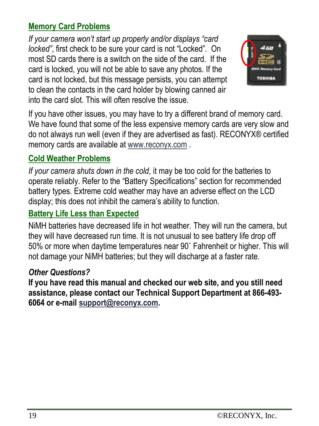#### **Memory Card Problems**

*If your camera won't start up properly and/or displays "card locked"*, first check to be sure your card is not "Locked". On most SD cards there is a switch on the side of the card. If the card is locked, you will not be able to save any photos. If the card is not locked, but this message persists, you can attempt to clean the contacts in the card holder by blowing canned air into the card slot. This will often resolve the issue.



If you have other issues, you may have to try a different brand of memory card. We have found that some of the less expensive memory cards are very slow and do not always run well (even if they are advertised as fast). RECONYX® certified memory cards are available a[t www.reconyx.com](http://www.reconyx.com/) .

### **Cold Weather Problems**

*If your camera shuts down in the cold,* it may be too cold for the batteries to operate reliably. Refer to the "Battery Specifications" section for recommended battery types. Extreme cold weather may have an adverse effect on the LCD display; this does not inhibit the camera's ability to function.

### **Battery Life Less than Expected**

NiMH batteries have decreased life in hot weather. They will run the camera, but they will have decreased run time. It is not unusual to see battery life drop off 50% or more when daytime temperatures near 90˚ Fahrenheit or higher. This will not damage your NiMH batteries; but they will discharge at a faster rate.

#### *Other Questions?*

**If you have read this manual and checked our web site, and you still need assistance, please contact our Technical Support Department at 866-493- 6064 or e-mail [support@reconyx.com.](mailto:support@reconyx.com)**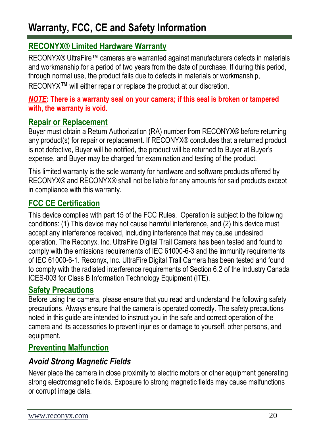## <span id="page-20-0"></span>**Warranty, FCC, CE and Safety Information**

#### **RECONYX® Limited Hardware Warranty**

RECONYX® UltraFire™ cameras are warranted against manufacturers defects in materials and workmanship for a period of two years from the date of purchase. If during this period, through normal use, the product fails due to defects in materials or workmanship, RECONYX<sup>™</sup> will either repair or replace the product at our discretion.

#### *NOTE***: There is a warranty seal on your camera; if this seal is broken or tampered with, the warranty is void.**

#### **Repair or Replacement**

Buyer must obtain a Return Authorization (RA) number from RECONYX® before returning any product(s) for repair or replacement. If RECONYX® concludes that a returned product is not defective, Buyer will be notified, the product will be returned to Buyer at Buyer's expense, and Buyer may be charged for examination and testing of the product.

This limited warranty is the sole warranty for hardware and software products offered by RECONYX® and RECONYX® shall not be liable for any amounts for said products except in compliance with this warranty.

#### **FCC CE Certification**

This device complies with part 15 of the FCC Rules. Operation is subject to the following conditions: (1) This device may not cause harmful interference, and (2) this device must accept any interference received, including interference that may cause undesired operation. The Reconyx, Inc. UltraFire Digital Trail Camera has been tested and found to comply with the emissions requirements of IEC 61000-6-3 and the immunity requirements of IEC 61000-6-1. Reconyx, Inc. UltraFire Digital Trail Camera has been tested and found to comply with the radiated interference requirements of Section 6.2 of the Industry Canada ICES-003 for Class B Information Technology Equipment (ITE).

#### **Safety Precautions**

Before using the camera, please ensure that you read and understand the following safety precautions. Always ensure that the camera is operated correctly. The safety precautions noted in this guide are intended to instruct you in the safe and correct operation of the camera and its accessories to prevent injuries or damage to yourself, other persons, and equipment.

#### **Preventing Malfunction**

#### *Avoid Strong Magnetic Fields*

Never place the camera in close proximity to electric motors or other equipment generating strong electromagnetic fields. Exposure to strong magnetic fields may cause malfunctions or corrupt image data.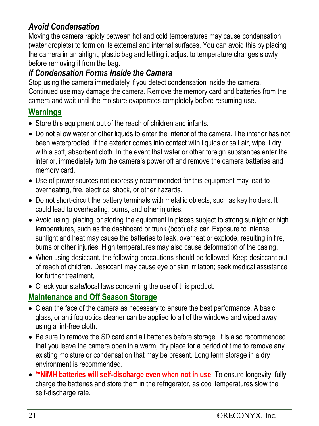### *Avoid Condensation*

Moving the camera rapidly between hot and cold temperatures may cause condensation (water droplets) to form on its external and internal surfaces. You can avoid this by placing the camera in an airtight, plastic bag and letting it adjust to temperature changes slowly before removing it from the bag.

#### *If Condensation Forms Inside the Camera*

Stop using the camera immediately if you detect condensation inside the camera. Continued use may damage the camera. Remove the memory card and batteries from the camera and wait until the moisture evaporates completely before resuming use.

#### **Warnings**

- Store this equipment out of the reach of children and infants.
- Do not allow water or other liquids to enter the interior of the camera. The interior has not been waterproofed. If the exterior comes into contact with liquids or salt air, wipe it dry with a soft, absorbent cloth. In the event that water or other foreign substances enter the interior, immediately turn the camera's power off and remove the camera batteries and memory card.
- Use of power sources not expressly recommended for this equipment may lead to overheating, fire, electrical shock, or other hazards.
- Do not short-circuit the battery terminals with metallic objects, such as key holders. It could lead to overheating, burns, and other injuries.
- Avoid using, placing, or storing the equipment in places subject to strong sunlight or high temperatures, such as the dashboard or trunk (boot) of a car. Exposure to intense sunlight and heat may cause the batteries to leak, overheat or explode, resulting in fire, burns or other injuries. High temperatures may also cause deformation of the casing.
- When using desiccant, the following precautions should be followed: Keep desiccant out of reach of children. Desiccant may cause eye or skin irritation; seek medical assistance for further treatment,
- Check your state/local laws concerning the use of this product.

#### **Maintenance and Off Season Storage**

- Clean the face of the camera as necessary to ensure the best performance. A basic glass, or anti fog optics cleaner can be applied to all of the windows and wiped away using a lint-free cloth.
- Be sure to remove the SD card and all batteries before storage. It is also recommended that you leave the camera open in a warm, dry place for a period of time to remove any existing moisture or condensation that may be present. Long term storage in a dry environment is recommended.
- **\*\*NiMH batteries will self-discharge even when not in use**. To ensure longevity, fully charge the batteries and store them in the refrigerator, as cool temperatures slow the self-discharge rate.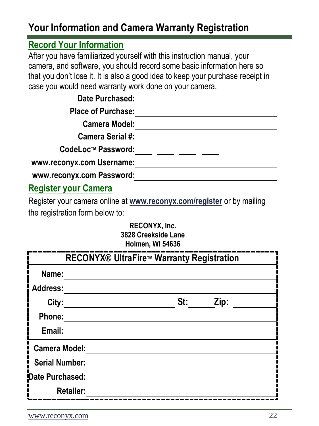## <span id="page-22-0"></span>**Your Information and Camera Warranty Registration**

### **Record Your Information**

After you have familiarized yourself with this instruction manual, your camera, and software, you should record some basic information here so that you don't lose it. It is also a good idea to keep your purchase receipt in case you would need warranty work done on your camera.

**Date Purchased:**

**Place of Purchase:**

**Camera Model:**

**Camera Serial #:**

**CodeLocTM Password:**

**www.reconyx.com Username:**

**www.reconyx.com Password:**

### **Register your Camera**

Register your camera online at **[www.reconyx.com/register](http://www.reconyx.com/register)** or by mailing the registration form below to:

#### **RECONYX, Inc. 3828 Creekside Lane Holmen, WI 54636**

| <b>RECONYX® UltraFire™ Warranty Registration</b> |     |  |      |  |  |  |
|--------------------------------------------------|-----|--|------|--|--|--|
| Name:                                            |     |  |      |  |  |  |
| Address:                                         |     |  |      |  |  |  |
| City:                                            | St: |  | Zip: |  |  |  |
| Phone:                                           |     |  |      |  |  |  |
| Email:                                           |     |  |      |  |  |  |
| <b>Camera Model:</b>                             |     |  |      |  |  |  |
| <b>Serial Number:</b>                            |     |  |      |  |  |  |
| Date Purchased:                                  |     |  |      |  |  |  |
| <b>Retailer:</b>                                 |     |  |      |  |  |  |